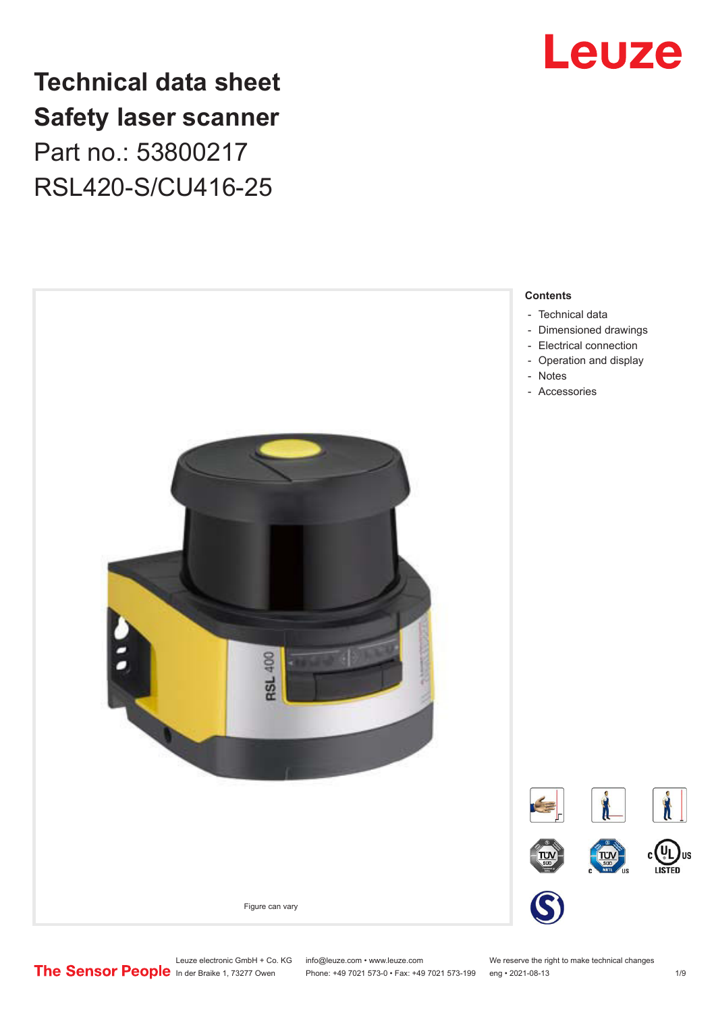

# **Technical data sheet Safety laser scanner** Part no.: 53800217 RSL420-S/CU416-25



Leuze electronic GmbH + Co. KG info@leuze.com • www.leuze.com We reserve the right to make technical changes<br>
The Sensor People in der Braike 1, 73277 Owen Phone: +49 7021 573-0 • Fax: +49 7021 573-199 eng • 2021-08-13

Phone: +49 7021 573-0 • Fax: +49 7021 573-199 eng • 2021-08-13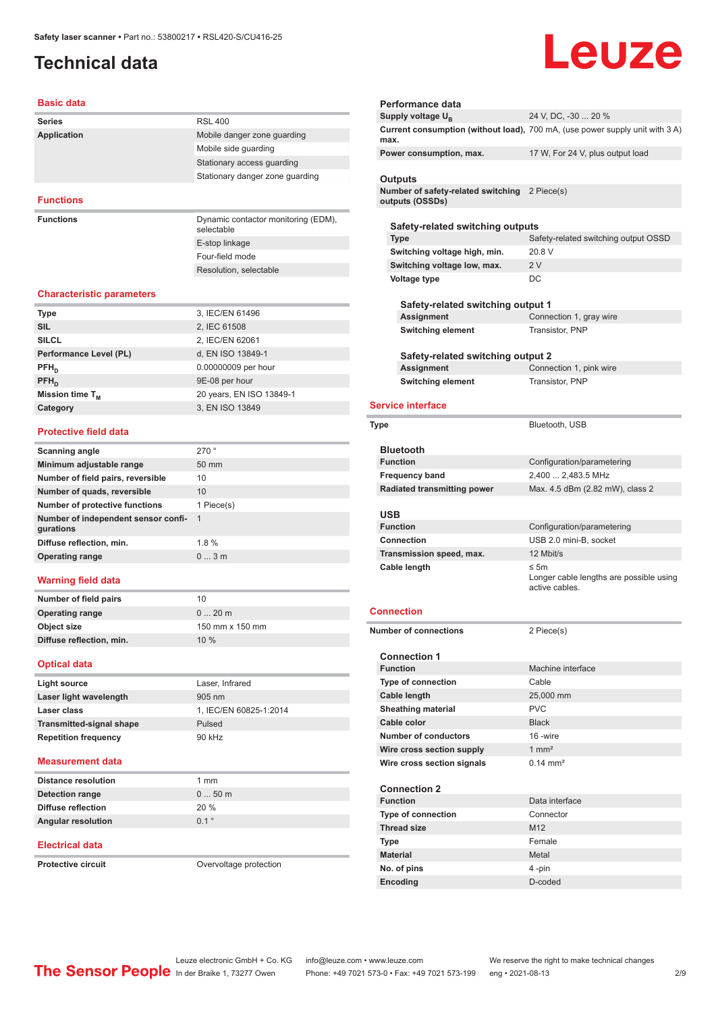# <span id="page-1-0"></span>**Technical data**

# Leuze

#### **Basic data**

| <b>Series</b>    | <b>RSL 400</b>                                                    |
|------------------|-------------------------------------------------------------------|
| Application      | Mobile danger zone quarding                                       |
|                  | Mobile side guarding                                              |
|                  | Stationary access guarding                                        |
|                  | Stationary danger zone quarding                                   |
|                  |                                                                   |
| <b>Functions</b> |                                                                   |
| <b>Functions</b> | Dynamic contactor monitoring (EDM),<br>and the contract the trace |

selectable E-stop linkage Four-field mode Resolution, selectable

#### **Characteristic parameters**

| <b>Type</b>            | 3, IEC/EN 61496          |
|------------------------|--------------------------|
| <b>SIL</b>             | 2, IEC 61508             |
| <b>SILCL</b>           | 2, IEC/EN 62061          |
| Performance Level (PL) | d, EN ISO 13849-1        |
| $PFH_{n}$              | 0.00000009 per hour      |
| $PFH_{n}$              | 9E-08 per hour           |
| Mission time $T_M$     | 20 years, EN ISO 13849-1 |
| Category               | 3, EN ISO 13849          |
|                        |                          |

#### **Protective field data**

| Scanning angle                                   | 270°            |
|--------------------------------------------------|-----------------|
| Minimum adjustable range                         | $50 \text{ mm}$ |
| Number of field pairs, reversible                | 10              |
| Number of quads, reversible                      | 10              |
| Number of protective functions                   | 1 Piece(s)      |
| Number of independent sensor confi-<br>gurations | - 1             |
| Diffuse reflection, min.                         | 1.8%            |
| <b>Operating range</b>                           | $03$ m          |
|                                                  |                 |

#### **Warning field data**

| Number of field pairs    | 10              |
|--------------------------|-----------------|
| <b>Operating range</b>   | $020$ m         |
| Object size              | 150 mm x 150 mm |
| Diffuse reflection, min. | 10%             |
|                          |                 |

#### **Optical data**

| Light source                    | Laser, Infrared        |
|---------------------------------|------------------------|
| Laser light wavelength          | $905 \text{ nm}$       |
| Laser class                     | 1. IEC/EN 60825-1:2014 |
| <b>Transmitted-signal shape</b> | Pulsed                 |
| <b>Repetition frequency</b>     | 90 kHz                 |
|                                 |                        |

#### **Measurement data**

| <b>Distance resolution</b> | $1 \text{ mm}$ |
|----------------------------|----------------|
| Detection range            | $050$ m        |
| Diffuse reflection         | 20%            |
| <b>Angular resolution</b>  | 01°            |

#### **Electrical data**

**Protective circuit COVER COVER COVER COVER COVERENT** Overvoltage protection

| Performance data                                                                   |                                                                              |
|------------------------------------------------------------------------------------|------------------------------------------------------------------------------|
| Supply voltage U <sub>B</sub>                                                      | 24 V, DC, -30  20 %                                                          |
| max.                                                                               | Current consumption (without load), 700 mA, (use power supply unit with 3 A) |
| Power consumption, max.                                                            | 17 W, For 24 V, plus output load                                             |
|                                                                                    |                                                                              |
| <b>Outputs</b><br>Number of safety-related switching 2 Piece(s)<br>outputs (OSSDs) |                                                                              |
| Safety-related switching outputs                                                   |                                                                              |
| <b>Type</b>                                                                        | Safety-related switching output OSSD                                         |
| Switching voltage high, min.                                                       | 20.8 V                                                                       |
| Switching voltage low, max.                                                        | 2V                                                                           |
| Voltage type                                                                       | DC                                                                           |
|                                                                                    |                                                                              |
| Safety-related switching output 1                                                  |                                                                              |
| Assignment                                                                         | Connection 1, gray wire                                                      |
| <b>Switching element</b>                                                           | Transistor, PNP                                                              |
|                                                                                    |                                                                              |
| Safety-related switching output 2                                                  |                                                                              |
| Assignment                                                                         | Connection 1, pink wire                                                      |
| <b>Switching element</b>                                                           | Transistor, PNP                                                              |
| <b>Service interface</b>                                                           |                                                                              |
|                                                                                    |                                                                              |
| Type                                                                               | Bluetooth, USB                                                               |
|                                                                                    |                                                                              |
| <b>Bluetooth</b>                                                                   |                                                                              |
| <b>Function</b>                                                                    | Configuration/parametering                                                   |
| <b>Frequency band</b><br><b>Radiated transmitting power</b>                        | 2,400  2,483.5 MHz<br>Max. 4.5 dBm (2.82 mW), class 2                        |
|                                                                                    |                                                                              |
| USB                                                                                |                                                                              |
| <b>Function</b>                                                                    | Configuration/parametering                                                   |
| <b>Connection</b>                                                                  | USB 2.0 mini-B, socket                                                       |
| Transmission speed, max.                                                           | 12 Mbit/s                                                                    |
| Cable length                                                                       | ≤ 5 $m$<br>Longer cable lengths are possible using<br>active cables.         |
| Connection                                                                         |                                                                              |
|                                                                                    |                                                                              |
| <b>Number of connections</b>                                                       | 2 Piece(s)                                                                   |
| <b>Connection 1</b>                                                                |                                                                              |
| <b>Function</b>                                                                    | Machine interface                                                            |
| <b>Type of connection</b>                                                          | Cable                                                                        |
| Cable length                                                                       | 25,000 mm                                                                    |
|                                                                                    |                                                                              |
|                                                                                    | <b>PVC</b>                                                                   |
| <b>Sheathing material</b>                                                          |                                                                              |
| Cable color<br>Number of conductors                                                | <b>Black</b><br>16-wire                                                      |
|                                                                                    | $1 \text{ mm}^2$                                                             |
| Wire cross section supply                                                          | $0.14 \, \text{mm}^2$                                                        |
| Wire cross section signals                                                         |                                                                              |
| <b>Connection 2</b>                                                                |                                                                              |
| <b>Function</b>                                                                    | Data interface                                                               |
| <b>Type of connection</b>                                                          | Connector                                                                    |
| <b>Thread size</b>                                                                 | M <sub>12</sub>                                                              |
| Type                                                                               | Female                                                                       |

**No. of pins** 4 -pin **Encoding** D-coded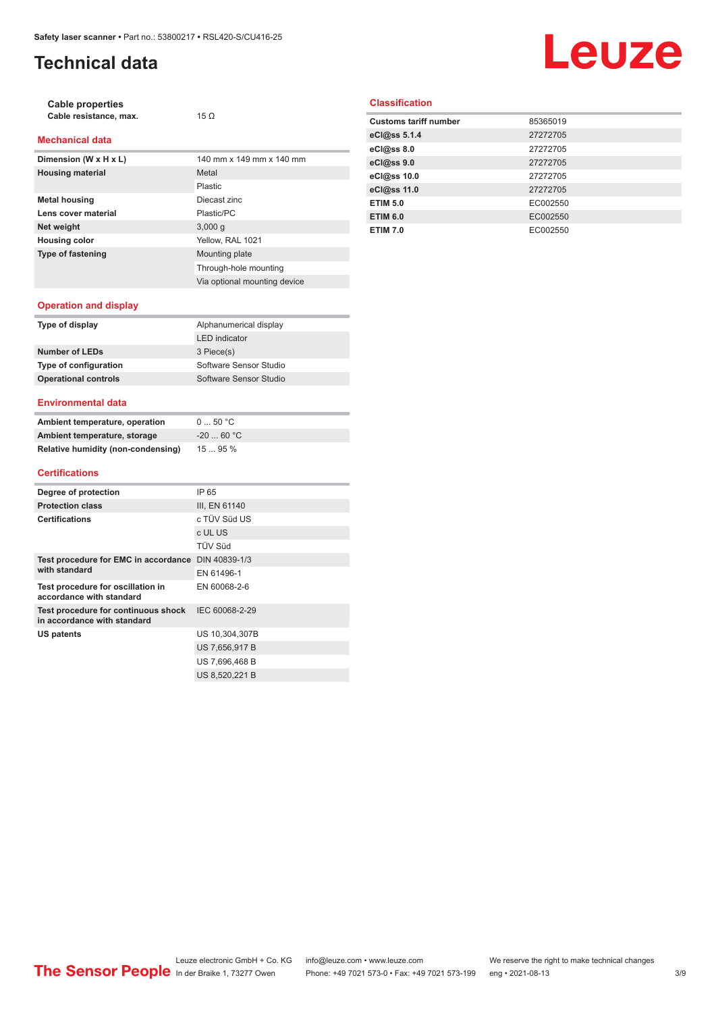# **Technical data**

# **Leuze**

| Cable properties       |             |
|------------------------|-------------|
| Cable resistance, max. | 15 $\Omega$ |

#### **Mechanical data**

| Dimension (W x H x L)    | 140 mm x 149 mm x 140 mm     |
|--------------------------|------------------------------|
| <b>Housing material</b>  | Metal                        |
|                          | Plastic                      |
| <b>Metal housing</b>     | Diecast zinc                 |
| Lens cover material      | Plastic/PC                   |
| Net weight               | 3,000q                       |
| <b>Housing color</b>     | Yellow, RAL 1021             |
| <b>Type of fastening</b> | Mounting plate               |
|                          | Through-hole mounting        |
|                          | Via optional mounting device |

#### **Classification**

| <b>Customs tariff number</b> | 85365019 |
|------------------------------|----------|
| eCl@ss 5.1.4                 | 27272705 |
| eCl@ss 8.0                   | 27272705 |
| eCl@ss 9.0                   | 27272705 |
| eCl@ss 10.0                  | 27272705 |
| eCl@ss 11.0                  | 27272705 |
| <b>ETIM 5.0</b>              | EC002550 |
| <b>ETIM 6.0</b>              | EC002550 |
| <b>ETIM 7.0</b>              | EC002550 |

#### **Operation and display**

| Type of display             | Alphanumerical display |
|-----------------------------|------------------------|
|                             | <b>LED</b> indicator   |
| Number of LEDs              | 3 Piece(s)             |
| Type of configuration       | Software Sensor Studio |
| <b>Operational controls</b> | Software Sensor Studio |
|                             |                        |

#### **Environmental data**

| Ambient temperature, operation     | 050 °C     |
|------------------------------------|------------|
| Ambient temperature, storage       | $-2060 °C$ |
| Relative humidity (non-condensing) | 1595%      |

#### **Certifications**

| Degree of protection                                               | IP 65          |
|--------------------------------------------------------------------|----------------|
| <b>Protection class</b>                                            | III, EN 61140  |
| <b>Certifications</b>                                              | c TÜV Süd US   |
|                                                                    | c UL US        |
|                                                                    | <b>TÜV Süd</b> |
| Test procedure for EMC in accordance DIN 40839-1/3                 |                |
| with standard                                                      | EN 61496-1     |
| Test procedure for oscillation in<br>accordance with standard      | EN 60068-2-6   |
| Test procedure for continuous shock<br>in accordance with standard | IEC 60068-2-29 |
| US patents                                                         | US 10,304,307B |
|                                                                    | US 7.656.917 B |
|                                                                    | US 7,696,468 B |
|                                                                    | US 8.520.221 B |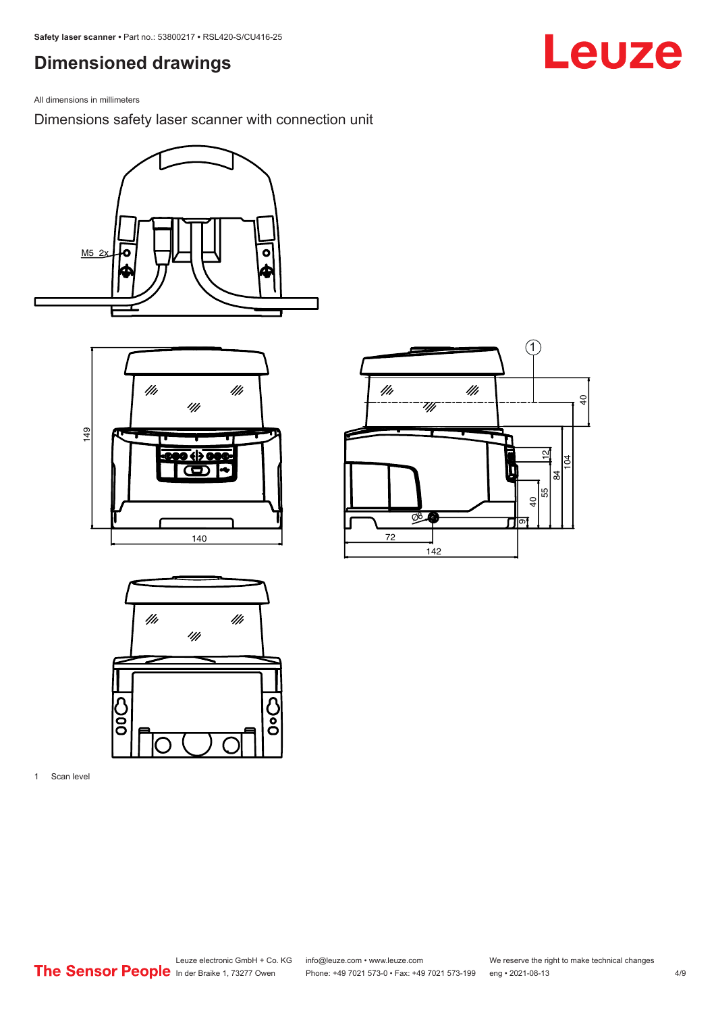## <span id="page-3-0"></span>**Dimensioned drawings**

All dimensions in millimeters

Dimensions safety laser scanner with connection unit









1 Scan level

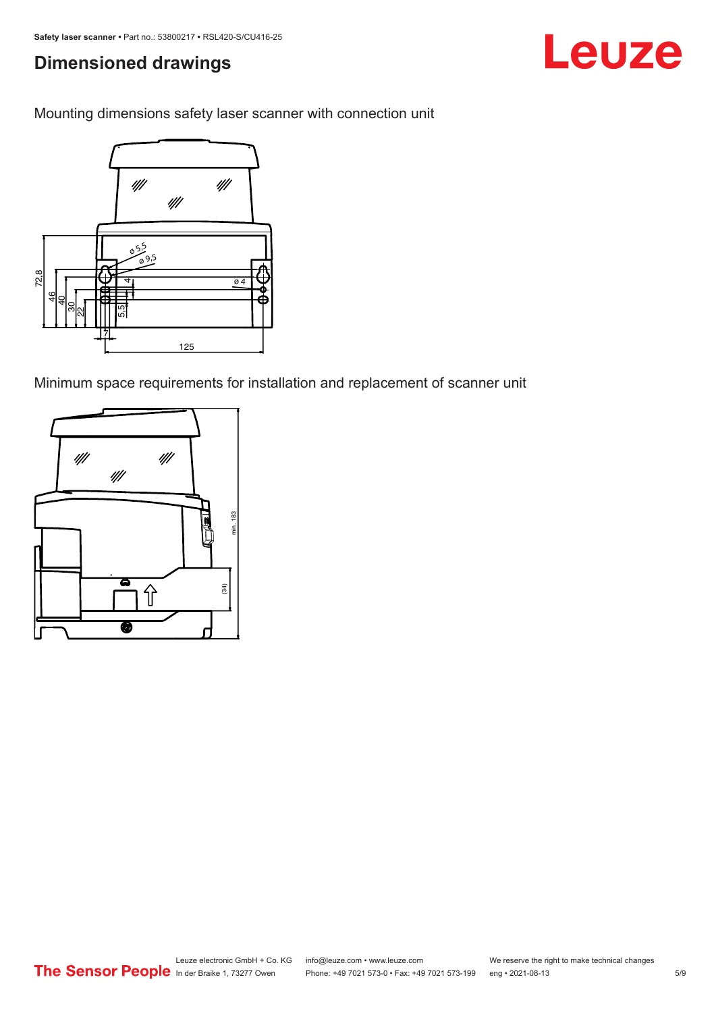# **Dimensioned drawings**

Mounting dimensions safety laser scanner with connection unit



Minimum space requirements for installation and replacement of scanner unit



Leuze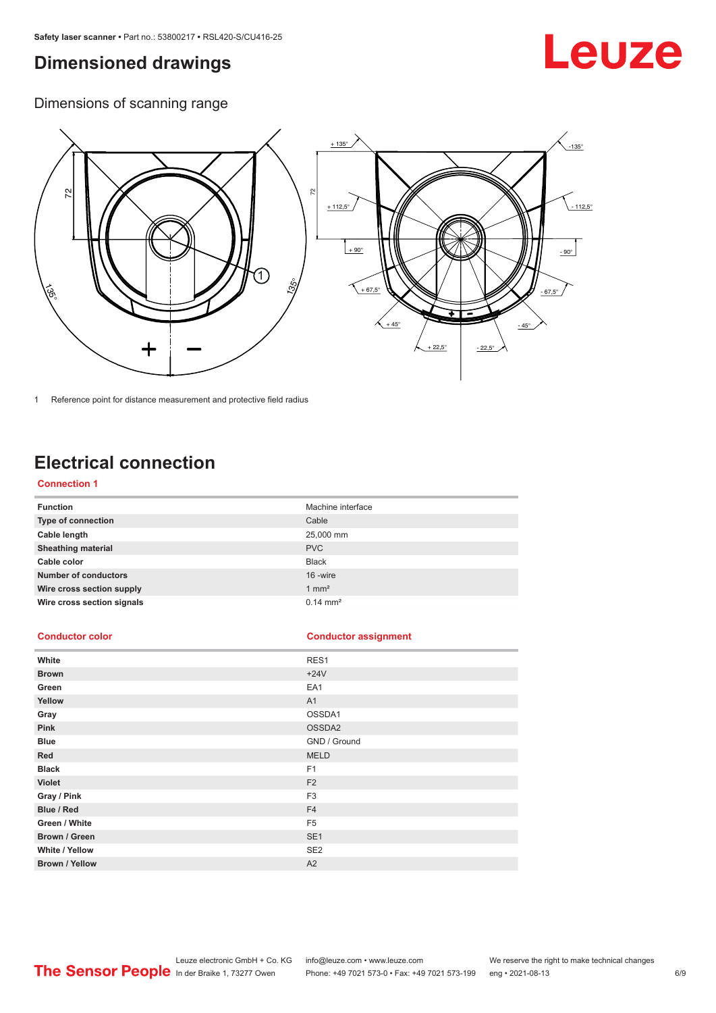## <span id="page-5-0"></span>**Dimensioned drawings**

# Leuze

Dimensions of scanning range



1 Reference point for distance measurement and protective field radius

# **Electrical connection**

#### **Connection 1**

| <b>Function</b>             | Machine interface   |
|-----------------------------|---------------------|
| Type of connection          | Cable               |
| Cable length                | 25,000 mm           |
| <b>Sheathing material</b>   | <b>PVC</b>          |
| Cable color                 | <b>Black</b>        |
| <b>Number of conductors</b> | 16 -wire            |
| Wire cross section supply   | $1 \text{ mm}^2$    |
| Wire cross section signals  | $0.14 \text{ mm}^2$ |

#### **Conductor color Conductor assignment**

| White                 | RES1            |
|-----------------------|-----------------|
| <b>Brown</b>          | $+24V$          |
| Green                 | EA1             |
| Yellow                | A1              |
| Gray                  | OSSDA1          |
| Pink                  | OSSDA2          |
| <b>Blue</b>           | GND / Ground    |
| Red                   | <b>MELD</b>     |
| <b>Black</b>          | F <sub>1</sub>  |
| Violet                | F <sub>2</sub>  |
| Gray / Pink           | F <sub>3</sub>  |
| Blue / Red            | F <sub>4</sub>  |
| Green / White         | F <sub>5</sub>  |
| Brown / Green         | SE <sub>1</sub> |
| White / Yellow        | SE <sub>2</sub> |
| <b>Brown / Yellow</b> | A2              |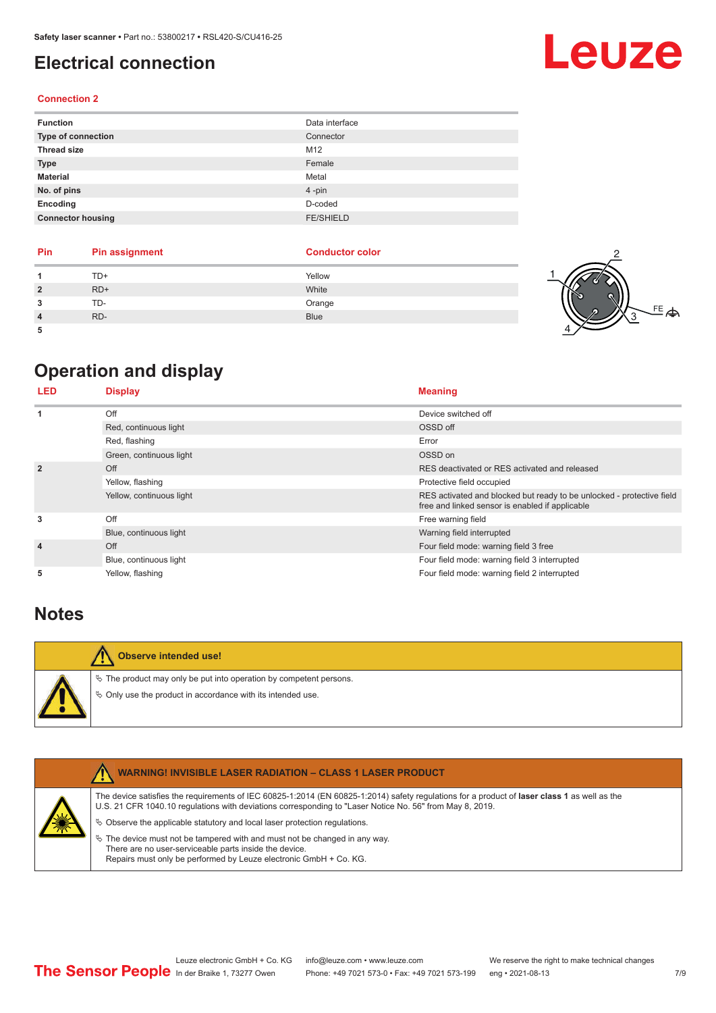## <span id="page-6-0"></span>**Electrical connection**

#### **Connection 2**

| <b>Function</b>          | Data interface   |
|--------------------------|------------------|
| Type of connection       | Connector        |
| <b>Thread size</b>       | M12              |
| <b>Type</b>              | Female           |
| <b>Material</b>          | Metal            |
| No. of pins              | $4 - pin$        |
| Encoding                 | D-coded          |
| <b>Connector housing</b> | <b>FE/SHIELD</b> |

| Pin | <b>Pin assignment</b> | <b>Conductor color</b> |    |
|-----|-----------------------|------------------------|----|
|     | TD+                   | Yellow                 |    |
|     | $RD+$                 | White                  |    |
|     | TD-                   | Orange                 | FE |
|     | RD-                   | <b>Blue</b>            |    |
|     |                       |                        |    |

# **Operation and display**

| <b>LED</b>     | <b>Display</b>           | <b>Meaning</b>                                                                                                           |
|----------------|--------------------------|--------------------------------------------------------------------------------------------------------------------------|
| 1              | Off                      | Device switched off                                                                                                      |
|                | Red, continuous light    | OSSD off                                                                                                                 |
|                | Red, flashing            | Error                                                                                                                    |
|                | Green, continuous light  | OSSD on                                                                                                                  |
| $\overline{2}$ | Off                      | RES deactivated or RES activated and released                                                                            |
|                | Yellow, flashing         | Protective field occupied                                                                                                |
|                | Yellow, continuous light | RES activated and blocked but ready to be unlocked - protective field<br>free and linked sensor is enabled if applicable |
| 3              | Off                      | Free warning field                                                                                                       |
|                | Blue, continuous light   | Warning field interrupted                                                                                                |
| $\overline{4}$ | Off                      | Four field mode: warning field 3 free                                                                                    |
|                | Blue, continuous light   | Four field mode: warning field 3 interrupted                                                                             |
| 5              | Yellow, flashing         | Four field mode: warning field 2 interrupted                                                                             |

### **Notes**

| Observe intended use!                                                                                                                   |
|-----------------------------------------------------------------------------------------------------------------------------------------|
| $\&$ The product may only be put into operation by competent persons.<br>$\&$ Only use the product in accordance with its intended use. |

|   | <b>WARNING! INVISIBLE LASER RADIATION - CLASS 1 LASER PRODUCT</b>                                                                                                                                                                                                                                                                                                                                                                                                                                                                                                |
|---|------------------------------------------------------------------------------------------------------------------------------------------------------------------------------------------------------------------------------------------------------------------------------------------------------------------------------------------------------------------------------------------------------------------------------------------------------------------------------------------------------------------------------------------------------------------|
| 纂 | The device satisfies the requirements of IEC 60825-1:2014 (EN 60825-1:2014) safety requiations for a product of <b>laser class 1</b> as well as the<br>U.S. 21 CFR 1040.10 regulations with deviations corresponding to "Laser Notice No. 56" from May 8, 2019.<br>$\%$ Observe the applicable statutory and local laser protection regulations.<br>$\&$ The device must not be tampered with and must not be changed in any way.<br>There are no user-serviceable parts inside the device.<br>Repairs must only be performed by Leuze electronic GmbH + Co. KG. |
|   |                                                                                                                                                                                                                                                                                                                                                                                                                                                                                                                                                                  |

# Leuze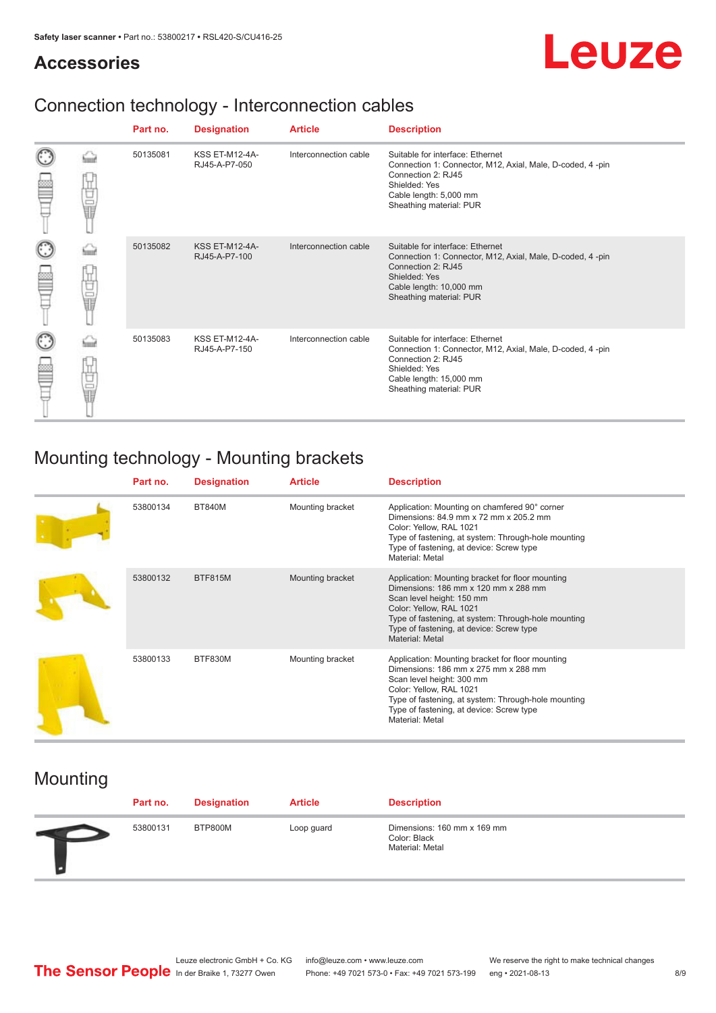## **Accessories**

# Leuze

# Connection technology - Interconnection cables

|   |            | Part no. | <b>Designation</b>                     | <b>Article</b>        | <b>Description</b>                                                                                                                                                                         |
|---|------------|----------|----------------------------------------|-----------------------|--------------------------------------------------------------------------------------------------------------------------------------------------------------------------------------------|
|   | ti<br>Ultr | 50135081 | <b>KSS ET-M12-4A-</b><br>RJ45-A-P7-050 | Interconnection cable | Suitable for interface: Ethernet<br>Connection 1: Connector, M12, Axial, Male, D-coded, 4-pin<br>Connection 2: RJ45<br>Shielded: Yes<br>Cable length: 5,000 mm<br>Sheathing material: PUR  |
| C | 世間         | 50135082 | <b>KSS ET-M12-4A-</b><br>RJ45-A-P7-100 | Interconnection cable | Suitable for interface: Ethernet<br>Connection 1: Connector, M12, Axial, Male, D-coded, 4-pin<br>Connection 2: RJ45<br>Shielded: Yes<br>Cable length: 10,000 mm<br>Sheathing material: PUR |
| C | Ö          | 50135083 | <b>KSS ET-M12-4A-</b><br>RJ45-A-P7-150 | Interconnection cable | Suitable for interface: Ethernet<br>Connection 1: Connector, M12, Axial, Male, D-coded, 4-pin<br>Connection 2: RJ45<br>Shielded: Yes<br>Cable length: 15,000 mm<br>Sheathing material: PUR |

# Mounting technology - Mounting brackets

| Part no. | <b>Designation</b> | <b>Article</b>   | <b>Description</b>                                                                                                                                                                                                                                                     |
|----------|--------------------|------------------|------------------------------------------------------------------------------------------------------------------------------------------------------------------------------------------------------------------------------------------------------------------------|
| 53800134 | <b>BT840M</b>      | Mounting bracket | Application: Mounting on chamfered 90° corner<br>Dimensions: 84.9 mm x 72 mm x 205.2 mm<br>Color: Yellow, RAL 1021<br>Type of fastening, at system: Through-hole mounting<br>Type of fastening, at device: Screw type<br>Material: Metal                               |
| 53800132 | <b>BTF815M</b>     | Mounting bracket | Application: Mounting bracket for floor mounting<br>Dimensions: 186 mm x 120 mm x 288 mm<br>Scan level height: 150 mm<br>Color: Yellow, RAL 1021<br>Type of fastening, at system: Through-hole mounting<br>Type of fastening, at device: Screw type<br>Material: Metal |
| 53800133 | BTF830M            | Mounting bracket | Application: Mounting bracket for floor mounting<br>Dimensions: 186 mm x 275 mm x 288 mm<br>Scan level height: 300 mm<br>Color: Yellow, RAL 1021<br>Type of fastening, at system: Through-hole mounting<br>Type of fastening, at device: Screw type<br>Material: Metal |

# Mounting

| Part no. | <b>Designation</b> | <b>Article</b> | <b>Description</b>                                             |
|----------|--------------------|----------------|----------------------------------------------------------------|
| 53800131 | BTP800M            | Loop guard     | Dimensions: 160 mm x 169 mm<br>Color: Black<br>Material: Metal |